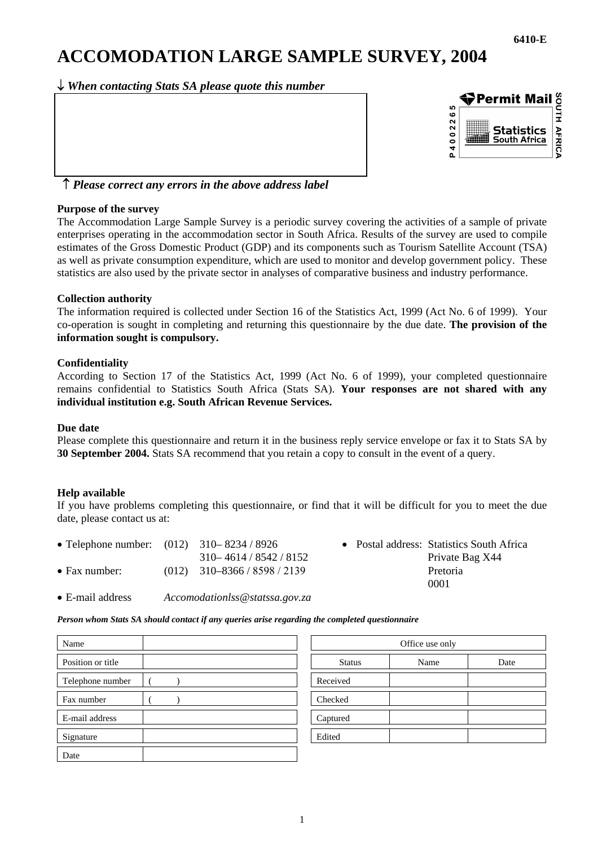# **ACCOMODATION LARGE SAMPLE SURVEY, 2004**

↓ *When contacting Stats SA please quote this number*



# ↑ *Please correct any errors in the above address label*

## **Purpose of the survey**

The Accommodation Large Sample Survey is a periodic survey covering the activities of a sample of private enterprises operating in the accommodation sector in South Africa. Results of the survey are used to compile estimates of the Gross Domestic Product (GDP) and its components such as Tourism Satellite Account (TSA) as well as private consumption expenditure, which are used to monitor and develop government policy. These statistics are also used by the private sector in analyses of comparative business and industry performance.

## **Collection authority**

The information required is collected under Section 16 of the Statistics Act, 1999 (Act No. 6 of 1999). Your co-operation is sought in completing and returning this questionnaire by the due date. **The provision of the information sought is compulsory.**

## **Confidentiality**

According to Section 17 of the Statistics Act, 1999 (Act No. 6 of 1999), your completed questionnaire remains confidential to Statistics South Africa (Stats SA). **Your responses are not shared with any individual institution e.g. South African Revenue Services.** 

## **Due date**

Please complete this questionnaire and return it in the business reply service envelope or fax it to Stats SA by **30 September 2004.** Stats SA recommend that you retain a copy to consult in the event of a query.

## **Help available**

If you have problems completing this questionnaire, or find that it will be difficult for you to meet the due date, please contact us at:

| • Telephone number: $(012)$ 310–8234/8926 |                                | • Postal address: Statistics |           |
|-------------------------------------------|--------------------------------|------------------------------|-----------|
|                                           | 310 - 4614 / 8542 / 8152       |                              | Private I |
| $\bullet$ Fax number:                     | $(012)$ 310-8366 / 8598 / 2139 |                              | Pretoria  |
|                                           |                                |                              | .         |

- Postal address: Statistics South Africa Private Bag X44 0001
- E-mail address *Accomodationlss@statssa.gov.za*

*Person whom Stats SA should contact if any queries arise regarding the completed questionnaire* 

| Name              | Office use only       |      |  |  |
|-------------------|-----------------------|------|--|--|
| Position or title | <b>Status</b><br>Name | Date |  |  |
| Telephone number  | Received              |      |  |  |
| Fax number        | Checked               |      |  |  |
| E-mail address    | Captured              |      |  |  |
| Signature         | Edited                |      |  |  |
| Date              |                       |      |  |  |

| Office use only |      |      |  |  |
|-----------------|------|------|--|--|
| <b>Status</b>   | Name | Date |  |  |
| Received        |      |      |  |  |
| Checked         |      |      |  |  |
| Captured        |      |      |  |  |
| Edited          |      |      |  |  |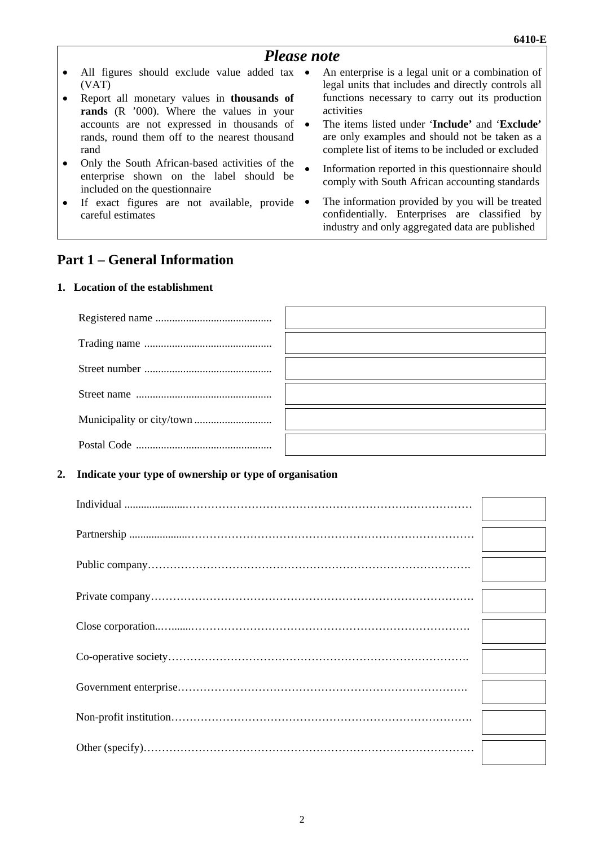• An enterprise is a legal unit or a combination of legal units that includes and directly controls all functions necessary to carry out its production

• The items listed under '**Include'** and '**Exclude'** are only examples and should not be taken as a complete list of items to be included or excluded

Information reported in this questionnaire should comply with South African accounting standards The information provided by you will be treated confidentially. Enterprises are classified by industry and only aggregated data are published

# *Please note*

activities

- All figures should exclude value added tax (VAT)
- Report all monetary values in **thousands of rands** (R '000). Where the values in your accounts are not expressed in thousands of rands, round them off to the nearest thousand rand
- Only the South African-based activities of the enterprise shown on the label should be included on the questionnaire
- If exact figures are not available, provide  $\bullet$ careful estimates

# **Part 1 – General Information**

## **1. Location of the establishment**

## **2. Indicate your type of ownership or type of organisation**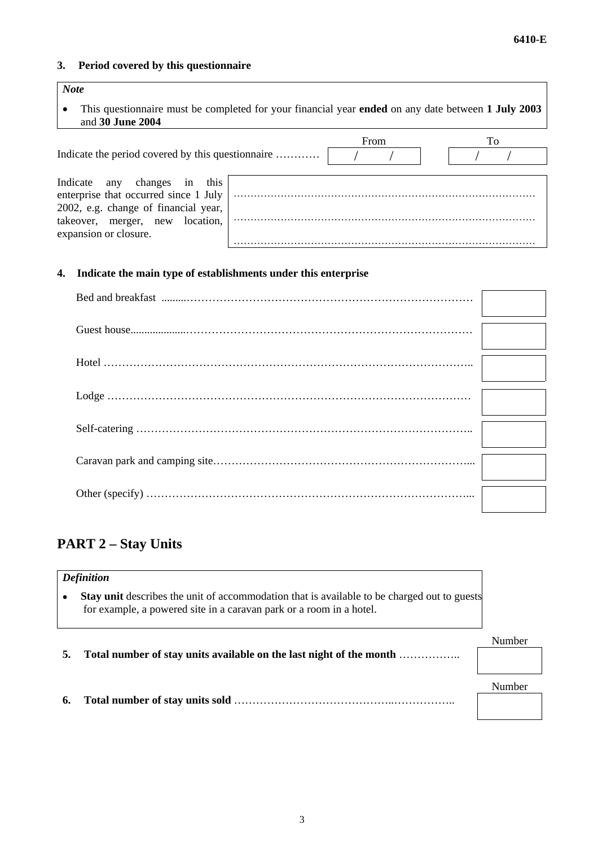# **3. Period covered by this questionnaire**

# *Note*

• This questionnaire must be completed for your financial year **ended** on any date between **1 July 2003** and **30 June 2004**

| Indicate the period covered by this questionnaire                                                                                                                               | From | To |
|---------------------------------------------------------------------------------------------------------------------------------------------------------------------------------|------|----|
| this<br>Indicate any<br>changes in<br>enterprise that occurred since 1 July<br>2002, e.g. change of financial year,<br>takeover, merger, new location,<br>expansion or closure. |      |    |
|                                                                                                                                                                                 |      |    |

# **4. Indicate the main type of establishments under this enterprise**

# **PART 2 – Stay Units**

|    | <b>Definition</b>                                                                                                                                                         |        |
|----|---------------------------------------------------------------------------------------------------------------------------------------------------------------------------|--------|
| ٠  | <b>Stay unit</b> describes the unit of accommodation that is available to be charged out to guests<br>for example, a powered site in a caravan park or a room in a hotel. |        |
|    | Total number of stay units available on the last night of the month                                                                                                       | Number |
| 6. |                                                                                                                                                                           | Number |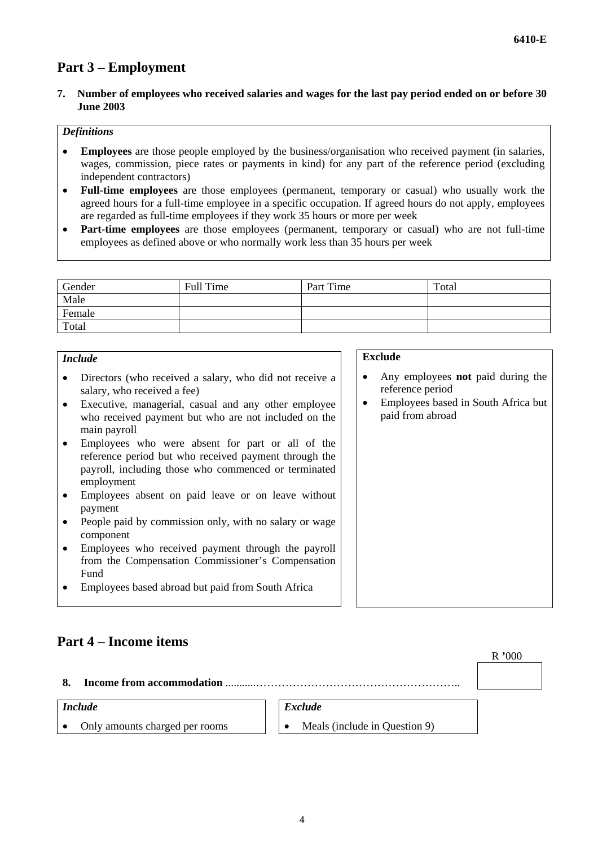# **Part 3 – Employment**

**7. Number of employees who received salaries and wages for the last pay period ended on or before 30 June 2003** 

## *Definitions*

- **Employees** are those people employed by the business/organisation who received payment (in salaries, wages, commission, piece rates or payments in kind) for any part of the reference period (excluding independent contractors)
- **Full-time employees** are those employees (permanent, temporary or casual) who usually work the agreed hours for a full-time employee in a specific occupation. If agreed hours do not apply, employees are regarded as full-time employees if they work 35 hours or more per week
- **Part-time employees** are those employees (permanent, temporary or casual) who are not full-time employees as defined above or who normally work less than 35 hours per week

| Gender | Full Time | Part Time | Total |
|--------|-----------|-----------|-------|
| Male   |           |           |       |
| Female |           |           |       |
| Total  |           |           |       |

## *Include*

- Directors (who received a salary, who did not receive a salary, who received a fee)
- Executive, managerial, casual and any other employee who received payment but who are not included on the main payroll
- Employees who were absent for part or all of the reference period but who received payment through the payroll, including those who commenced or terminated employment
- Employees absent on paid leave or on leave without payment
- People paid by commission only, with no salary or wage component
- Employees who received payment through the payroll from the Compensation Commissioner's Compensation Fund
- Employees based abroad but paid from South Africa

#### **Exclude**

- Any employees **not** paid during the reference period
- Employees based in South Africa but paid from abroad

# **Part 4 – Income items**

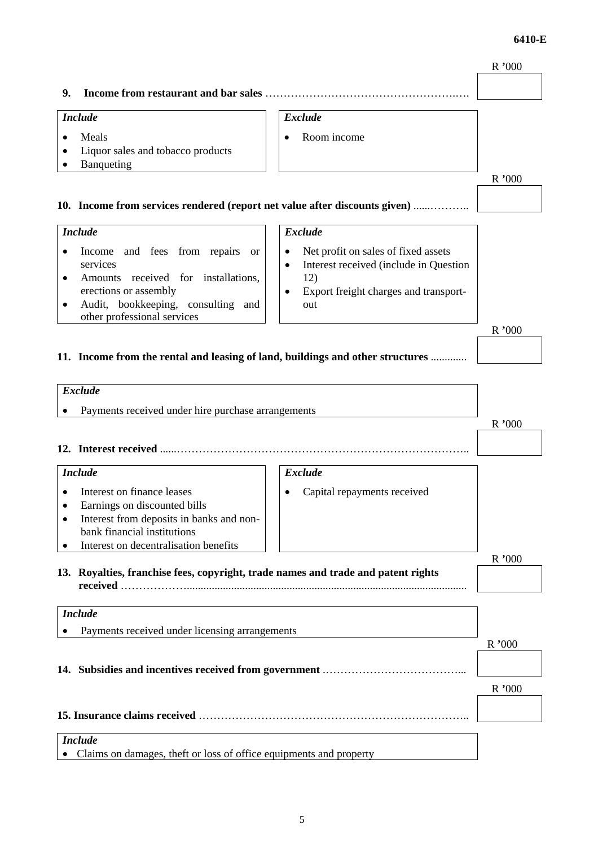# **6410-E**

# R **'**000 **9. Income from restaurant and bar sales** …………………………………………….…. *Include*  • Meals • Liquor sales and tobacco products • Banqueting *Exclude* • Room income R **'**000 **10. Income from services rendered (report net value after discounts given)** ......……….. *Include*  • Income and fees from repairs or services • Amounts received for installations, erections or assembly • Audit, bookkeeping, consulting and other professional services *Exclude*  • Net profit on sales of fixed assets Interest received (include in Question 12) • Export freight charges and transportout R **'**000 **11. Income from the rental and leasing of land, buildings and other structures** ............. *Exclude* • Payments received under hire purchase arrangements R **'**000 **12. Interest received** ......…………………………………………………………………….. *Include*  • Interest on finance leases • Earnings on discounted bills • Interest from deposits in banks and nonbank financial institutions Interest on decentralisation benefits *Exclude* • Capital repayments received R **'**000 **13. Royalties, franchise fees, copyright, trade names and trade and patent rights received** ………………..................................................................................................... *Include*  • Payments received under licensing arrangements R **'**000 **14. Subsidies and incentives received from government** .………………………………... R **'**000 **15. Insurance claims received** ……………………………………………………………….. *Include*

• Claims on damages, theft or loss of office equipments and property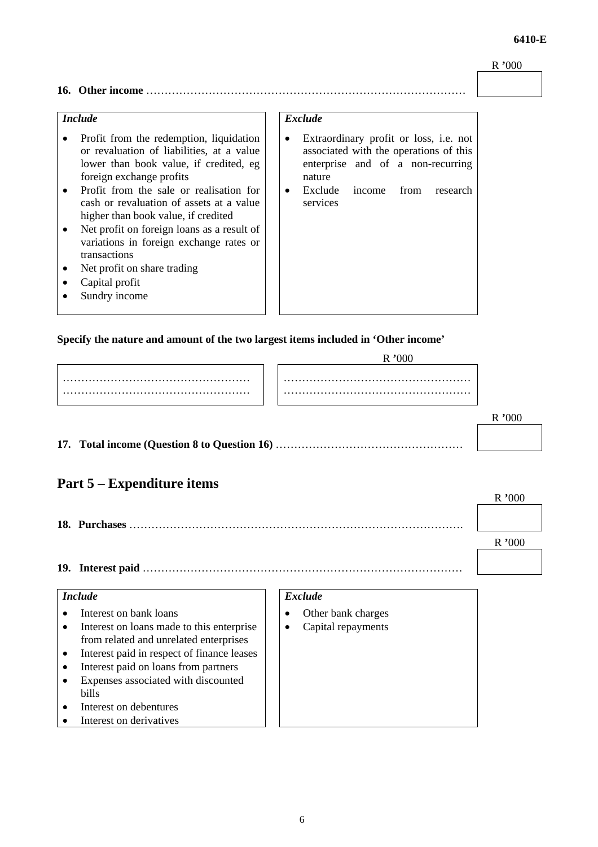#### R **'**000

**6410-E** 

# **16. Other income** ……………………………………………………………………………

# *Include*

- Profit from the redemption, liquidation or revaluation of liabilities, at a value lower than book value, if credited, eg foreign exchange profits
- Profit from the sale or realisation for cash or revaluation of assets at a value higher than book value, if credited
- Net profit on foreign loans as a result of variations in foreign exchange rates or transactions
- Net profit on share trading
- Capital profit
- Sundry income

## *Exclude*

- Extraordinary profit or loss, i.e. not associated with the operations of this enterprise and of a non-recurring nature
- Exclude income from research services

#### **Specify the nature and amount of the two largest items included in 'Other income'**

**17. Total income (Question 8 to Question 16)** ……………………………………………

# **Part 5 – Expenditure items**

**18. Purchases** ……………………………………………………………………………….

R **'**000

**19. Interest paid** ……………………………………………………………………………

### *Include*

- Interest on bank loans
- Interest on loans made to this enterprise from related and unrelated enterprises
- Interest paid in respect of finance leases
- Interest paid on loans from partners
- Expenses associated with discounted bills
- Interest on debentures
- Interest on derivatives

## *Exclude*

- Other bank charges
- Capital repayments

# R **'**000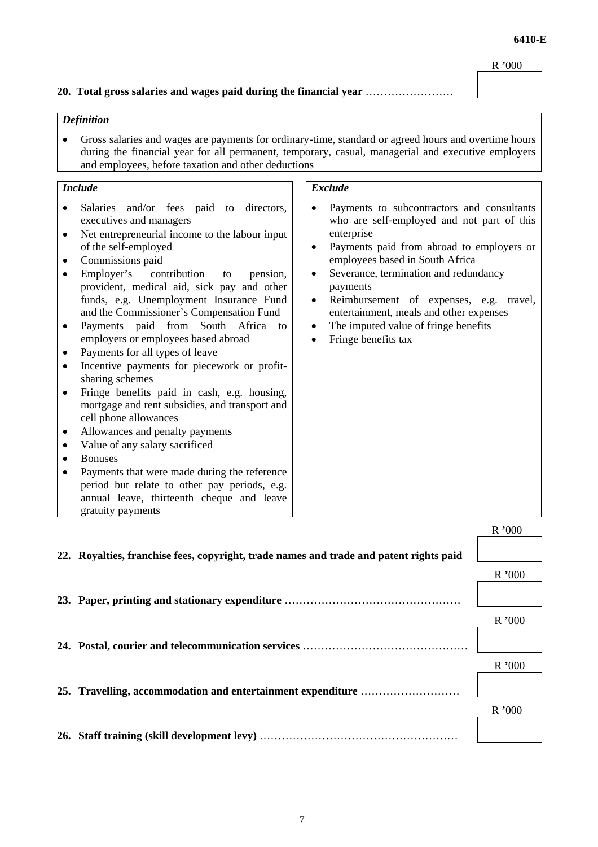#### R **'**000

R **'**000

### **20. Total gross salaries and wages paid during the financial year** ……………………

## *Definition*

• Gross salaries and wages are payments for ordinary-time, standard or agreed hours and overtime hours during the financial year for all permanent, temporary, casual, managerial and executive employers and employees, before taxation and other deductions

# *Include*

- Salaries and/or fees paid to directors, executives and managers • Net entrepreneurial income to the labour input
- of the self-employed
- Commissions paid
- Employer's contribution to pension, provident, medical aid, sick pay and other funds, e.g. Unemployment Insurance Fund and the Commissioner's Compensation Fund
- Payments paid from South Africa to employers or employees based abroad
- Payments for all types of leave
- Incentive payments for piecework or profitsharing schemes
- Fringe benefits paid in cash, e.g. housing, mortgage and rent subsidies, and transport and cell phone allowances
- Allowances and penalty payments
- Value of any salary sacrificed
- Bonuses
- Payments that were made during the reference period but relate to other pay periods, e.g. annual leave, thirteenth cheque and leave gratuity payments

## *Exclude*

- Payments to subcontractors and consultants who are self-employed and not part of this enterprise
- Payments paid from abroad to employers or employees based in South Africa
- Severance, termination and redundancy payments
- Reimbursement of expenses, e.g. travel, entertainment, meals and other expenses
- The imputed value of fringe benefits
- Fringe benefits tax

|                                                                                        | N VVV |
|----------------------------------------------------------------------------------------|-------|
| 22. Royalties, franchise fees, copyright, trade names and trade and patent rights paid |       |
|                                                                                        | R'000 |
|                                                                                        |       |
|                                                                                        | R'000 |
|                                                                                        |       |
|                                                                                        |       |
|                                                                                        | R'000 |
|                                                                                        |       |
| 25. Travelling, accommodation and entertainment expenditure                            |       |
|                                                                                        | R'000 |
|                                                                                        |       |
|                                                                                        |       |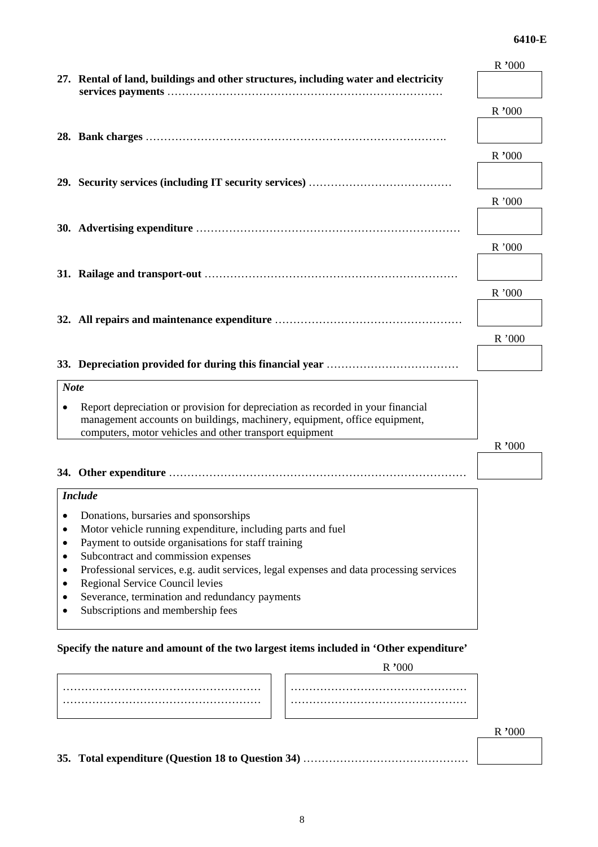#### **6410-E**

|                |                                                                                                                                      | R '000 |
|----------------|--------------------------------------------------------------------------------------------------------------------------------------|--------|
|                | 27. Rental of land, buildings and other structures, including water and electricity                                                  |        |
|                |                                                                                                                                      |        |
|                |                                                                                                                                      | R'000  |
|                |                                                                                                                                      |        |
|                |                                                                                                                                      | R'000  |
|                |                                                                                                                                      |        |
|                |                                                                                                                                      |        |
|                |                                                                                                                                      | R'000  |
|                |                                                                                                                                      |        |
|                |                                                                                                                                      |        |
|                |                                                                                                                                      | R'000  |
|                |                                                                                                                                      |        |
|                |                                                                                                                                      | R'000  |
|                |                                                                                                                                      |        |
|                |                                                                                                                                      |        |
|                |                                                                                                                                      | R'000  |
|                |                                                                                                                                      |        |
|                |                                                                                                                                      |        |
| <b>Note</b>    |                                                                                                                                      |        |
| $\bullet$      | Report depreciation or provision for depreciation as recorded in your financial                                                      |        |
|                | management accounts on buildings, machinery, equipment, office equipment,<br>computers, motor vehicles and other transport equipment |        |
|                |                                                                                                                                      | R'000  |
|                |                                                                                                                                      |        |
|                |                                                                                                                                      |        |
|                | <b>Include</b>                                                                                                                       |        |
| ٠              | Donations, bursaries and sponsorships                                                                                                |        |
|                | Motor vehicle running expenditure, including parts and fuel                                                                          |        |
| ٠              | Payment to outside organisations for staff training                                                                                  |        |
| ٠<br>$\bullet$ | Subcontract and commission expenses<br>Professional services, e.g. audit services, legal expenses and data processing services       |        |
| $\bullet$      | Regional Service Council levies                                                                                                      |        |
|                | Severance, termination and redundancy payments                                                                                       |        |
|                | Subscriptions and membership fees                                                                                                    |        |
|                |                                                                                                                                      |        |

# **Specify the nature and amount of the two largest items included in 'Other expenditure'**

R **'**000

**35. Total expenditure (Question 18 to Question 34)** ………………………………………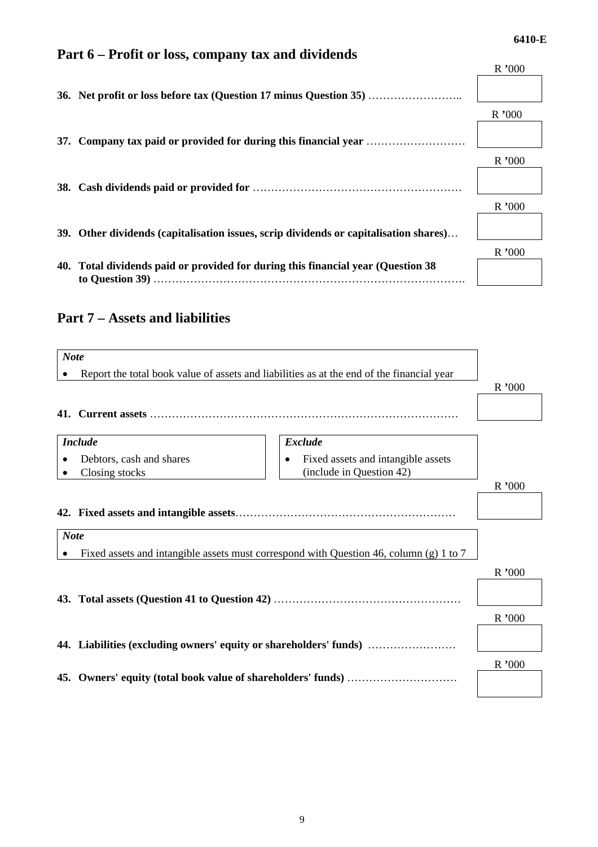# **Part 6 – Profit or loss, company tax and dividends**

|                                                                                       | R'000 |
|---------------------------------------------------------------------------------------|-------|
| 36. Net profit or loss before tax (Question 17 minus Question 35)                     |       |
|                                                                                       | R'000 |
|                                                                                       |       |
|                                                                                       | R'000 |
|                                                                                       |       |
|                                                                                       | R'000 |
| 39. Other dividends (capitalisation issues, scrip dividends or capitalisation shares) |       |
|                                                                                       | R'000 |
| 40. Total dividends paid or provided for during this financial year (Question 38)     |       |
|                                                                                       |       |

# **Part 7 – Assets and liabilities**

| <b>Note</b>                                                  |                                                                                               |       |
|--------------------------------------------------------------|-----------------------------------------------------------------------------------------------|-------|
|                                                              | Report the total book value of assets and liabilities as at the end of the financial year     | R'000 |
| <b>Include</b><br>Debtors, cash and shares<br>Closing stocks | <b>Exclude</b><br>Fixed assets and intangible assets<br>$\bullet$<br>(include in Question 42) |       |
|                                                              |                                                                                               | R'000 |
| <b>Note</b>                                                  | Fixed assets and intangible assets must correspond with Question 46, column (g) 1 to 7        | R'000 |
|                                                              |                                                                                               | R'000 |
|                                                              | 44. Liabilities (excluding owners' equity or shareholders' funds)                             |       |
|                                                              |                                                                                               | R'000 |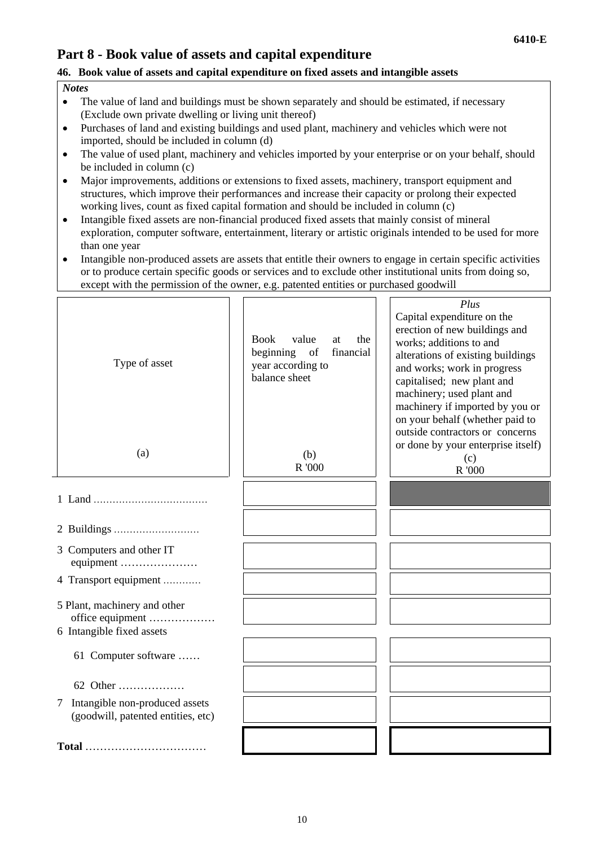# **Part 8 - Book value of assets and capital expenditure**

# **46. Book value of assets and capital expenditure on fixed assets and intangible assets**

## *Notes*

- The value of land and buildings must be shown separately and should be estimated, if necessary (Exclude own private dwelling or living unit thereof)
- Purchases of land and existing buildings and used plant, machinery and vehicles which were not imported, should be included in column (d)
- The value of used plant, machinery and vehicles imported by your enterprise or on your behalf, should be included in column (c)
- Major improvements, additions or extensions to fixed assets, machinery, transport equipment and structures, which improve their performances and increase their capacity or prolong their expected working lives, count as fixed capital formation and should be included in column (c)
- Intangible fixed assets are non-financial produced fixed assets that mainly consist of mineral exploration, computer software, entertainment, literary or artistic originals intended to be used for more than one year
- Intangible non-produced assets are assets that entitle their owners to engage in certain specific activities or to produce certain specific goods or services and to exclude other institutional units from doing so, except with the permission of the owner, e.g. patented entities or purchased goodwill

| Type of asset                                                                 | <b>Book</b><br>value<br>the<br>at<br>beginning<br>of<br>financial<br>year according to<br>balance sheet | Plus<br>Capital expenditure on the<br>erection of new buildings and<br>works; additions to and<br>alterations of existing buildings<br>and works; work in progress<br>capitalised; new plant and<br>machinery; used plant and<br>machinery if imported by you or<br>on your behalf (whether paid to<br>outside contractors or concerns |
|-------------------------------------------------------------------------------|---------------------------------------------------------------------------------------------------------|----------------------------------------------------------------------------------------------------------------------------------------------------------------------------------------------------------------------------------------------------------------------------------------------------------------------------------------|
| (a)                                                                           | (b)<br>R '000                                                                                           | or done by your enterprise itself)<br>(c)<br>R '000                                                                                                                                                                                                                                                                                    |
|                                                                               |                                                                                                         |                                                                                                                                                                                                                                                                                                                                        |
|                                                                               |                                                                                                         |                                                                                                                                                                                                                                                                                                                                        |
| 3 Computers and other IT<br>equipment                                         |                                                                                                         |                                                                                                                                                                                                                                                                                                                                        |
| 4 Transport equipment                                                         |                                                                                                         |                                                                                                                                                                                                                                                                                                                                        |
| 5 Plant, machinery and other<br>office equipment<br>6 Intangible fixed assets |                                                                                                         |                                                                                                                                                                                                                                                                                                                                        |
| 61 Computer software                                                          |                                                                                                         |                                                                                                                                                                                                                                                                                                                                        |
| 62 Other                                                                      |                                                                                                         |                                                                                                                                                                                                                                                                                                                                        |
| Intangible non-produced assets<br>7<br>(goodwill, patented entities, etc)     |                                                                                                         |                                                                                                                                                                                                                                                                                                                                        |
| Total                                                                         |                                                                                                         |                                                                                                                                                                                                                                                                                                                                        |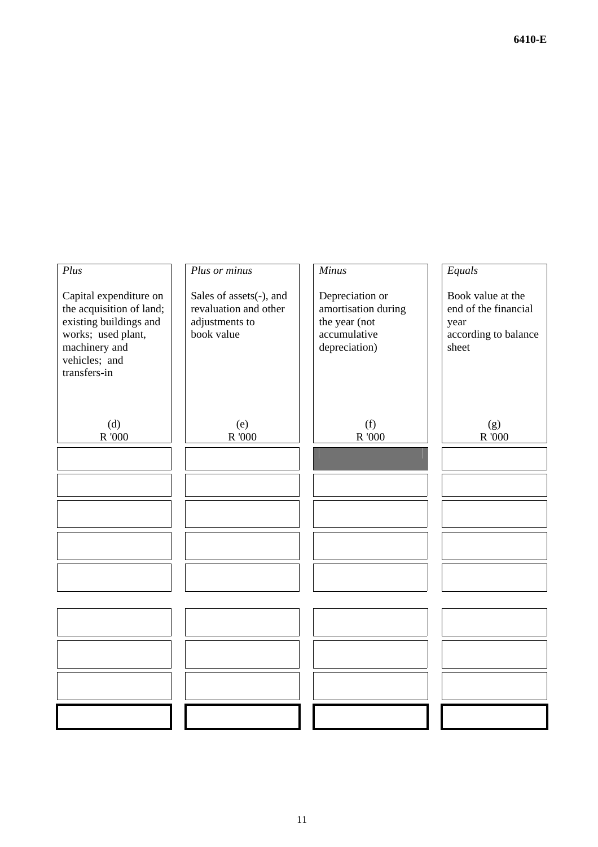**6410-E** 

| Plus                                                                                                                                                 | Plus or minus                                                                    | <b>Minus</b>                                                                             | Equals                                                                             |
|------------------------------------------------------------------------------------------------------------------------------------------------------|----------------------------------------------------------------------------------|------------------------------------------------------------------------------------------|------------------------------------------------------------------------------------|
| Capital expenditure on<br>the acquisition of land;<br>existing buildings and<br>works; used plant,<br>machinery and<br>vehicles; and<br>transfers-in | Sales of assets(-), and<br>revaluation and other<br>adjustments to<br>book value | Depreciation or<br>amortisation during<br>the year (not<br>accumulative<br>depreciation) | Book value at the<br>end of the financial<br>year<br>according to balance<br>sheet |
| (d)<br>R '000                                                                                                                                        | (e)<br>$\,$ $R$ $^{\prime}000$                                                   | (f)<br>R '000                                                                            | (g)<br>$\,$ $R$ $^{\prime}000$                                                     |
|                                                                                                                                                      |                                                                                  |                                                                                          |                                                                                    |
|                                                                                                                                                      |                                                                                  |                                                                                          |                                                                                    |
|                                                                                                                                                      |                                                                                  |                                                                                          |                                                                                    |
|                                                                                                                                                      |                                                                                  |                                                                                          |                                                                                    |
|                                                                                                                                                      |                                                                                  |                                                                                          |                                                                                    |
|                                                                                                                                                      |                                                                                  |                                                                                          |                                                                                    |
|                                                                                                                                                      |                                                                                  |                                                                                          |                                                                                    |
|                                                                                                                                                      |                                                                                  |                                                                                          |                                                                                    |
|                                                                                                                                                      |                                                                                  |                                                                                          |                                                                                    |
|                                                                                                                                                      |                                                                                  |                                                                                          |                                                                                    |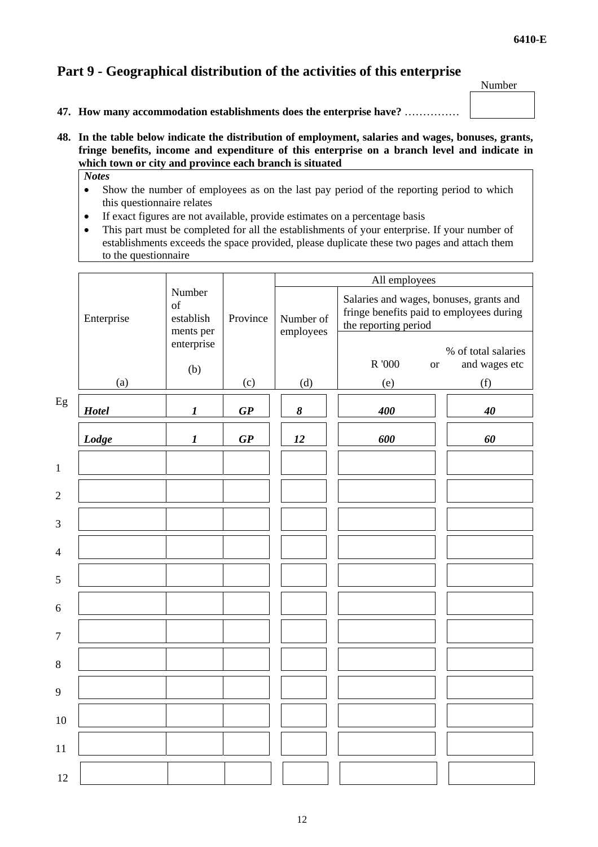# **Part 9 - Geographical distribution of the activities of this enterprise**

Number

- **47. How many accommodation establishments does the enterprise have?** ……………
- **48. In the table below indicate the distribution of employment, salaries and wages, bonuses, grants, fringe benefits, income and expenditure of this enterprise on a branch level and indicate in which town or city and province each branch is situated** 
	- *Notes*
	- Show the number of employees as on the last pay period of the reporting period to which this questionnaire relates
	- If exact figures are not available, provide estimates on a percentage basis
	- This part must be completed for all the establishments of your enterprise. If your number of establishments exceeds the space provided, please duplicate these two pages and attach them to the questionnaire

|                | Number<br>of<br>Enterprise<br>establish |                  | Province                       | All employees          |                                                                                                             |                     |
|----------------|-----------------------------------------|------------------|--------------------------------|------------------------|-------------------------------------------------------------------------------------------------------------|---------------------|
|                |                                         | ments per        |                                | Number of<br>employees | Salaries and wages, bonuses, grants and<br>fringe benefits paid to employees during<br>the reporting period |                     |
|                |                                         | enterprise       |                                |                        |                                                                                                             | % of total salaries |
|                |                                         | (b)              |                                |                        | R '000<br><b>or</b>                                                                                         | and wages etc       |
|                | (a)                                     |                  | (c)                            | (d)                    | (e)                                                                                                         | (f)                 |
| Eg             | Hotel                                   | $\boldsymbol{l}$ | $\boldsymbol{G}\boldsymbol{P}$ | $\pmb{8}$              | 400                                                                                                         | $40\,$              |
|                | Lodge                                   | $\boldsymbol{l}$ | $\boldsymbol{G}\boldsymbol{P}$ | 12                     | 600                                                                                                         | 60                  |
| $\mathbf{1}$   |                                         |                  |                                |                        |                                                                                                             |                     |
| $\overline{c}$ |                                         |                  |                                |                        |                                                                                                             |                     |
| 3              |                                         |                  |                                |                        |                                                                                                             |                     |
| 4              |                                         |                  |                                |                        |                                                                                                             |                     |
| 5              |                                         |                  |                                |                        |                                                                                                             |                     |
| 6              |                                         |                  |                                |                        |                                                                                                             |                     |
| $\overline{7}$ |                                         |                  |                                |                        |                                                                                                             |                     |
| 8              |                                         |                  |                                |                        |                                                                                                             |                     |
| 9              |                                         |                  |                                |                        |                                                                                                             |                     |
| 10             |                                         |                  |                                |                        |                                                                                                             |                     |
| 11             |                                         |                  |                                |                        |                                                                                                             |                     |
| 12             |                                         |                  |                                |                        |                                                                                                             |                     |